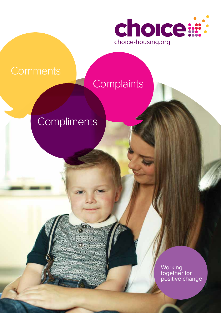

# **Complaints**

# **Compliments**

**Working** together for positive change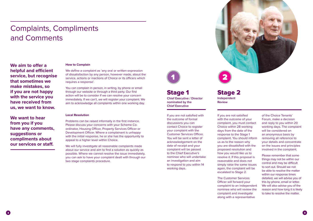# Complaints, Compliments and Comments

**We aim to offer a helpful and efficient service, but recognise that sometimes we make mistakes, so if you are not happy with the service you have received from us, we want to know.**

**We want to hear from you if you have any comments, suggestions or compliments about our services or staff.**

#### **How to Complain**

We define a complaint as 'any oral or written expression of dissatisfaction by any person, however made, about the service, actions or inactions of Choice or its officers which requires a response'.

You can complain in person, in writing, by phone or email through our website or through a third party. Our first action will be to consider if we can resolve your concern immediately. If we can't, we will register your complaint. We aim to acknowledge all complaints within one working day.

#### **Local Resolution**

Problems can be raised informally in the first instance. Please discuss your concerns with your Scheme Coordinator, Housing Officer, Property Services Officer or Development Officer. Where a complainant is unhappy with the initial response, he or she has the opportunity to appeal to a higher level within Choice.

We will fully investigate all reasonable complaints made about our service and aim to find a solution as quickly as possible. Where we cannot resolve the issue immediately, you can ask to have your complaint dealt with through our two stage complaints procedure.

If you are not satisfied with the outcome of formal discussions you can contact Choice to register your complaint with the Customer Services Officer. You will be sent a letter of acknowledgement on the date of receipt and your complaint will be passed to the Chief Executive's nominee who will undertake an investigation and aim to respond to you within 14 working days.



## Stage 1 **Chief Executive / Director**

**nominated by the Chief Executive**

> If you are not satisfied with the outcome of your complaint, you must contact Choice within 28 working days from the date of the response to the Stage 1 complaint. You should inform us as to the reason why you are dissatisfied with the proposed resolution and how you would like us to resolve it. If this proposal is reasonable and does not simply raise the same issues again, the complaint will be escalated to Stage 2.

The Customer Services Officer will forward your complaint to an independent nominee who will review the complaint and investigate along with a representative



of the Choice Tenants' Forum, make a decision and reply to you within 20 working days. The complaint will be considered on an anonymous basis by removing all reference to your details and concentrate on the issues and principles involved in the complaint.

Please remember that some things may not be within our control and may be difficult to sort out. Should we not be able to resolve the matter within our response times detailed, we will advise you of this by phone, email or letter. We will also advise you of the reason and how long it is likely to take to resolve the matter.

### Stage 2 **Independent Review**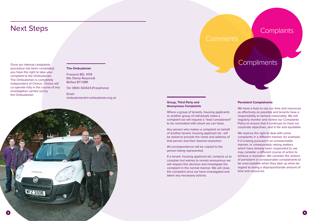Once our internal complaints procedure has been completed, you have the right to take your complaint to the Ombudsman. The Ombudsman is completely independent of Choice. Choice will co-operate fully in the course of any investigation carried out by the Ombudsman.

## Next Steps

#### **The Ombudsman**

Freepost BEL 1478 (No Stamp Required) Belfast BT1 6BR

Tel: 0800 343424 (Freephone)

Email: ombudsman@ni-ombudsman.org.uk





#### **Group, Third Party and Anonymous Complaints**

Where a group of tenants, housing applicants or another group of individuals make a complaint we will request a "lead complainant" to be nominated with whom we can liaise.

Any person who makes a complaint on behalf of another tenant, housing applicant etc. will be asked to provide the name and address of that person and their desired resolution.

All correspondence will be copied to the person being represented.

If a tenant, housing applicant etc contacts us to complain but wishes to remain anonymous we will respect this decision and investigate the complaint in the normal manner. We will close the complaint once we have investigated and taken any necessary actions.

## **Complaints**

## **Compliments**

#### **Persistent Complainants**

We have a duty to use our time and resources as effectively as possible and tenants have a responsibility to behave reasonably. We will regularly monitor and review our Complaints Policy to ensure that it continues to meet our corporate objectives, and is fair and equitable.

We reserve the right to deal with some complaints in a different manner, for example; if it is being pursued in an unreasonable manner, or unreasonably raising matters which have already been responded to, we may consider a different course of action to achieve a resolution. We consider the actions of persistent or unreasonable complainants to be unacceptable when they take up what we regard as being a disproportionate amount of time and resources.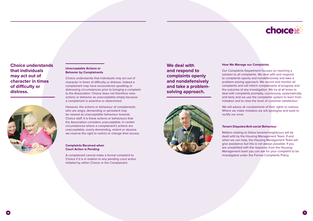#### **Unacceptable Actions or Behavior by Complainants**

Choice understands that individuals may act out of character in times of difficulty or distress. Indeed a complainant may have encountered upsetting or distressing circumstances prior to bringing a complaint to the Association. Choice does not therefore view actions or behavior as unacceptable simply because a complainant is assertive or determined.

However, the actions or behaviour of complainants who are angry, demanding or persistent may be viewed as unacceptable behaviour towards Choice staff. It is these actions or behaviours that the Association considers unacceptable. In certain circumstances where a complainant's actions are unacceptable, overly demanding, violent or abusive we reserve the right to restrict or change their access.

#### **Complaints Received when Court Action is Pending**

A complainant cannot make a formal complaint to Choice if it is in relation to any pending court action initiated by either Choice or the Complainant.

## **Choice understands that individuals may act out of character in times of difficulty or distress.**



#### **How We Manage our Complaints**

Our Complaints Department focuses on reaching a solution to all complaints. We deal with and respond to complaints openly and nondefensively and take a problem-solving approach. We record and monitor all complaints and will inform complainants of progress and the outcome of any investigation. We try at all times to deal with complaints promptly, courteously, systematically, and fairly and we use the complaints system to learn from mistakes and to raise the level of customer satisfaction.

We will advise all complainants of their rights to redress. Where we make mistakes we will apologise and seek to rectify our error.

#### **Tenant Disputes/Anti-social Behaviour**

Matters relating to fellow tenants/neighbours will be dealt with by the Housing Management Team. If and when we can help, the Housing Management Team will give assistance but this is not always possible. If you are unsatisfied with the response from the Housing Management team you can ask for your complaint to be investigated under the Formal Complaints Policy.



## **We deal with and respond to complaints openly and nondefensively and take a problemsolving approach.**

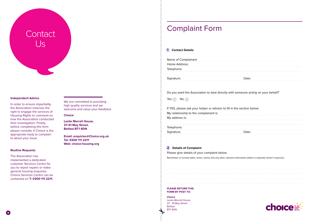# **Contact**  $\sqrt{S}$

#### **Independent Advice**

In order to ensure impartiality, the Association reserves the right to engage the services of Housing Rights to comment on how the Association conducted their investigation. Finally, before completing this form please consider if Choice is the appropriate body to complain to about your issue.

We are committed to providing high quality services and we welcome and value your feedback

#### **Routine Requests**

| Home Address:       |  |
|---------------------|--|
| Name of Complainant |  |

|  | Do you want the Association to deal directly with |  |
|--|---------------------------------------------------|--|
|--|---------------------------------------------------|--|

Yes No

The Association has implemented a dedicated customer Services Centre for you to report repairs or make general housing enquiries. Choice Services Centre can be contacted on **T: 0300 111 2211.** If YES, please ask your helper or advisor to fill in the section below: My relationship to the complainant is: My address is: Telephone: Signature:

#### **Choice**

**Leslie Morrell House, 37-41 May Street, Belfast BT1 4DN**

**Email: enquiries@Choice.org.uk Tel: 0300 111 2211 Web: choice-housing.org**

#### **1 Contact Details**

#### **2 Details of Complaint**

Please give details of your complaint below.

Remember to include dates, times, names and any other relevant information (attach a separate sheet if required.)

#### **PLEASE RETURN THIS FORM BY POST TO:**

**Choice** Leslie Morrell House 37 - 41 May Street Belfast BT1 4DN

#### someone acting on your behalf?

| Date: |  |
|-------|--|



# Complaint Form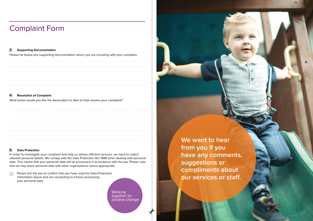#### **3 Supporting Documentation**

Please list below any supporting documentation which you are including with your complaint.



### **4 Resolution of Complaint**

What action would you like the Association to take to help resolve your complaint?

#### **5 Data Protection**

**Working** together for positive change

In order to investigate your complaint and help us deliver efficient services, we need to collect relevant personal details. We comply with the Data Protection Act 1998 when dealing with personal data. This means that your personal data will be processed in accordance with the law. Please note that we may share personal data with other organisations where appropriate.

 Please tick the box to confirm that you have read the Data Protection information above and are consenting to Choice processing your personal data.

# Complaint Form

**We want to hear from you if you have any comments, suggestions or compliments about our services or staff.**